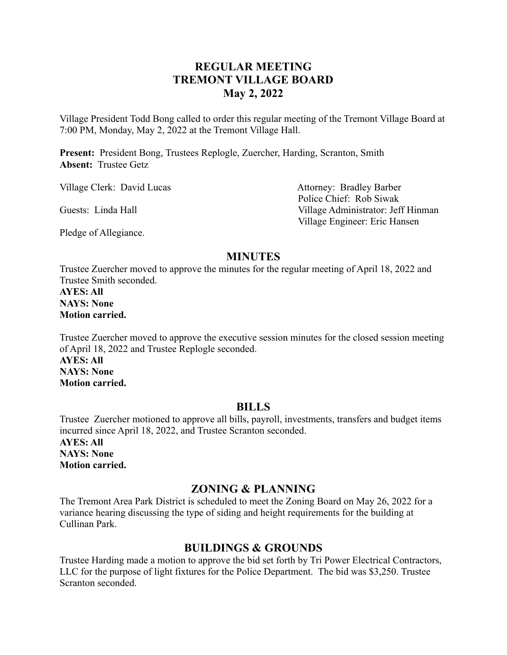# **REGULAR MEETING TREMONT VILLAGE BOARD May 2, 2022**

Village President Todd Bong called to order this regular meeting of the Tremont Village Board at 7:00 PM, Monday, May 2, 2022 at the Tremont Village Hall.

**Present:** President Bong, Trustees Replogle, Zuercher, Harding, Scranton, Smith **Absent:** Trustee Getz

Village Clerk: David Lucas Attorney: Bradley Barber

Police Chief: Rob Siwak Guests: Linda Hall Village Administrator: Jeff Hinman Village Engineer: Eric Hansen

Pledge of Allegiance.

### **MINUTES**

Trustee Zuercher moved to approve the minutes for the regular meeting of April 18, 2022 and Trustee Smith seconded.

**AYES: All NAYS: None Motion carried.**

Trustee Zuercher moved to approve the executive session minutes for the closed session meeting of April 18, 2022 and Trustee Replogle seconded. **AYES: All NAYS: None Motion carried.**

#### **BILLS**

Trustee Zuercher motioned to approve all bills, payroll, investments, transfers and budget items incurred since April 18, 2022, and Trustee Scranton seconded. **AYES: All NAYS: None Motion carried.**

### **ZONING & PLANNING**

The Tremont Area Park District is scheduled to meet the Zoning Board on May 26, 2022 for a variance hearing discussing the type of siding and height requirements for the building at Cullinan Park.

## **BUILDINGS & GROUNDS**

Trustee Harding made a motion to approve the bid set forth by Tri Power Electrical Contractors, LLC for the purpose of light fixtures for the Police Department. The bid was \$3,250. Trustee Scranton seconded.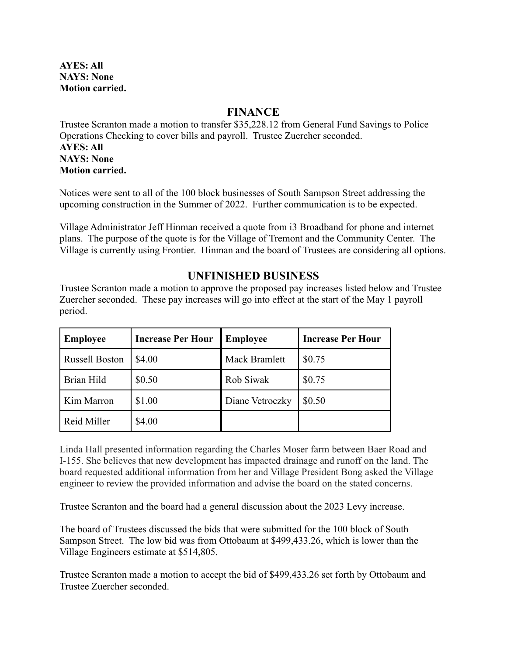**AYES: All NAYS: None Motion carried.**

### **FINANCE**

Trustee Scranton made a motion to transfer \$35,228.12 from General Fund Savings to Police Operations Checking to cover bills and payroll. Trustee Zuercher seconded. **AYES: All NAYS: None Motion carried.**

Notices were sent to all of the 100 block businesses of South Sampson Street addressing the upcoming construction in the Summer of 2022. Further communication is to be expected.

Village Administrator Jeff Hinman received a quote from i3 Broadband for phone and internet plans. The purpose of the quote is for the Village of Tremont and the Community Center. The Village is currently using Frontier. Hinman and the board of Trustees are considering all options.

# **UNFINISHED BUSINESS**

Trustee Scranton made a motion to approve the proposed pay increases listed below and Trustee Zuercher seconded. These pay increases will go into effect at the start of the May 1 payroll period.

| <b>Employee</b>       | <b>Increase Per Hour</b> | <b>Employee</b> | <b>Increase Per Hour</b> |
|-----------------------|--------------------------|-----------------|--------------------------|
| <b>Russell Boston</b> | \$4.00                   | Mack Bramlett   | \$0.75                   |
| Brian Hild            | \$0.50                   | Rob Siwak       | \$0.75                   |
| Kim Marron            | \$1.00                   | Diane Vetroczky | \$0.50                   |
| Reid Miller           | \$4.00                   |                 |                          |

Linda Hall presented information regarding the Charles Moser farm between Baer Road and I-155. She believes that new development has impacted drainage and runoff on the land. The board requested additional information from her and Village President Bong asked the Village engineer to review the provided information and advise the board on the stated concerns.

Trustee Scranton and the board had a general discussion about the 2023 Levy increase.

The board of Trustees discussed the bids that were submitted for the 100 block of South Sampson Street. The low bid was from Ottobaum at \$499,433.26, which is lower than the Village Engineers estimate at \$514,805.

Trustee Scranton made a motion to accept the bid of \$499,433.26 set forth by Ottobaum and Trustee Zuercher seconded.